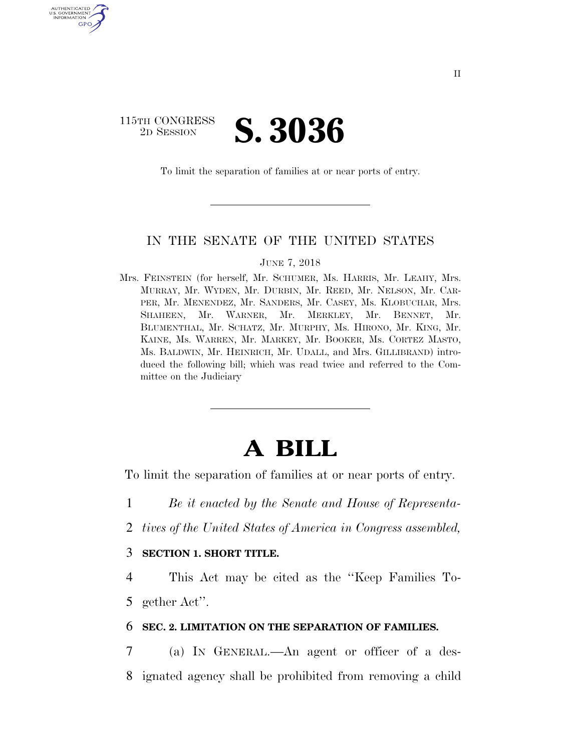### 115TH CONGRESS <sup>2D SESSION</sup> **S. 3036**

U.S. GOVERNMENT GPO

To limit the separation of families at or near ports of entry.

#### IN THE SENATE OF THE UNITED STATES

#### JUNE 7, 2018

Mrs. FEINSTEIN (for herself, Mr. SCHUMER, Ms. HARRIS, Mr. LEAHY, Mrs. MURRAY, Mr. WYDEN, Mr. DURBIN, Mr. REED, Mr. NELSON, Mr. CAR-PER, Mr. MENENDEZ, Mr. SANDERS, Mr. CASEY, Ms. KLOBUCHAR, Mrs. SHAHEEN, Mr. WARNER, Mr. MERKLEY, Mr. BENNET, Mr. BLUMENTHAL, Mr. SCHATZ, Mr. MURPHY, Ms. HIRONO, Mr. KING, Mr. KAINE, Ms. WARREN, Mr. MARKEY, Mr. BOOKER, Ms. CORTEZ MASTO, Ms. BALDWIN, Mr. HEINRICH, Mr. UDALL, and Mrs. GILLIBRAND) introduced the following bill; which was read twice and referred to the Committee on the Judiciary

# **A BILL**

To limit the separation of families at or near ports of entry.

1 *Be it enacted by the Senate and House of Representa-*

2 *tives of the United States of America in Congress assembled,* 

#### 3 **SECTION 1. SHORT TITLE.**

4 This Act may be cited as the ''Keep Families To-5 gether Act''.

#### 6 **SEC. 2. LIMITATION ON THE SEPARATION OF FAMILIES.**

7 (a) IN GENERAL.—An agent or officer of a des-8 ignated agency shall be prohibited from removing a child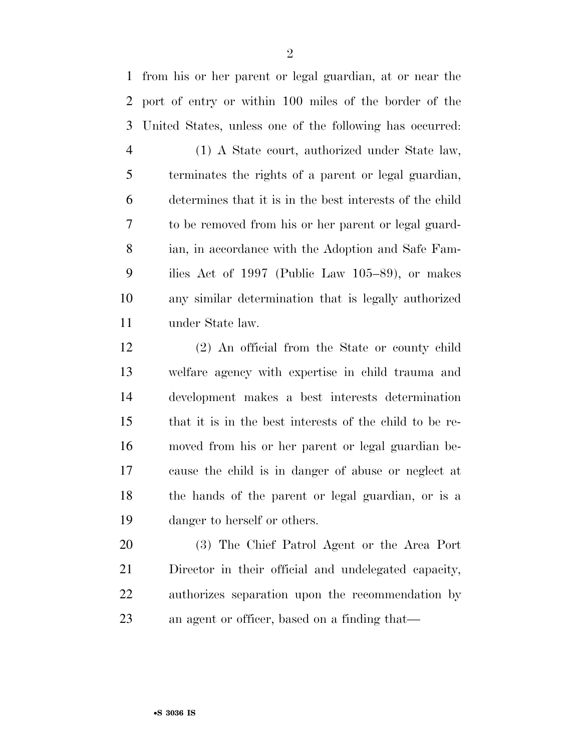from his or her parent or legal guardian, at or near the port of entry or within 100 miles of the border of the United States, unless one of the following has occurred:

 (1) A State court, authorized under State law, terminates the rights of a parent or legal guardian, determines that it is in the best interests of the child to be removed from his or her parent or legal guard- ian, in accordance with the Adoption and Safe Fam- ilies Act of 1997 (Public Law 105–89), or makes any similar determination that is legally authorized under State law.

 (2) An official from the State or county child welfare agency with expertise in child trauma and development makes a best interests determination that it is in the best interests of the child to be re- moved from his or her parent or legal guardian be- cause the child is in danger of abuse or neglect at the hands of the parent or legal guardian, or is a danger to herself or others.

 (3) The Chief Patrol Agent or the Area Port Director in their official and undelegated capacity, authorizes separation upon the recommendation by an agent or officer, based on a finding that—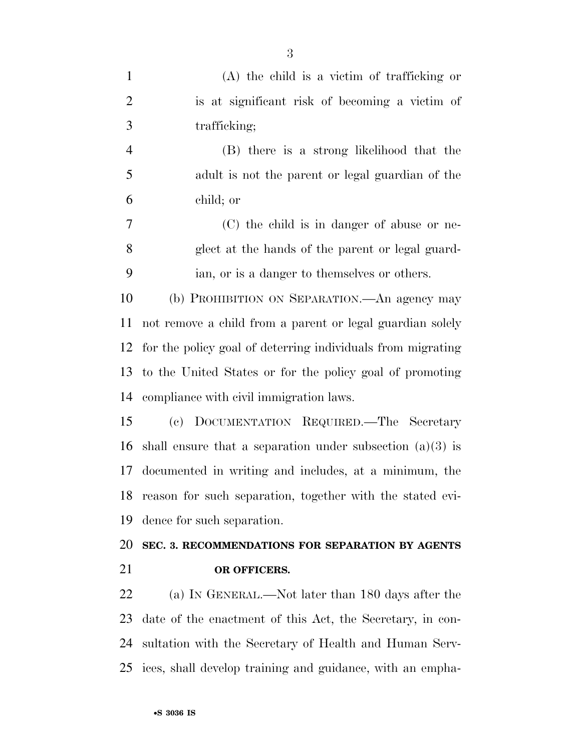| $\mathbf{1}$   | $(A)$ the child is a victim of trafficking or               |
|----------------|-------------------------------------------------------------|
| $\overline{2}$ | is at significant risk of becoming a victim of              |
| 3              | trafficking;                                                |
| $\overline{4}$ | (B) there is a strong likelihood that the                   |
| 5              | adult is not the parent or legal guardian of the            |
| 6              | child; or                                                   |
| 7              | (C) the child is in danger of abuse or ne-                  |
| 8              | glect at the hands of the parent or legal guard-            |
| 9              | ian, or is a danger to themselves or others.                |
| 10             | (b) PROHIBITION ON SEPARATION. An agency may                |
| 11             | not remove a child from a parent or legal guardian solely   |
| 12             | for the policy goal of deterring individuals from migrating |
| 13             | to the United States or for the policy goal of promoting    |
| 14             | compliance with civil immigration laws.                     |
| 15             | (c) DOCUMENTATION REQUIRED.—The Secretary                   |
| 16             | shall ensure that a separation under subsection $(a)(3)$ is |
| 17             | documented in writing and includes, at a minimum, the       |
| 18             | reason for such separation, together with the stated evi-   |
| 19             | dence for such separation.                                  |
| 20             | SEC. 3. RECOMMENDATIONS FOR SEPARATION BY AGENTS            |
| 21             | OR OFFICERS.                                                |
| 22             | (a) IN GENERAL.—Not later than 180 days after the           |
| 23             | date of the enactment of this Act, the Secretary, in con-   |
| 24             | sultation with the Secretary of Health and Human Serv-      |
| 25             | ices, shall develop training and guidance, with an empha-   |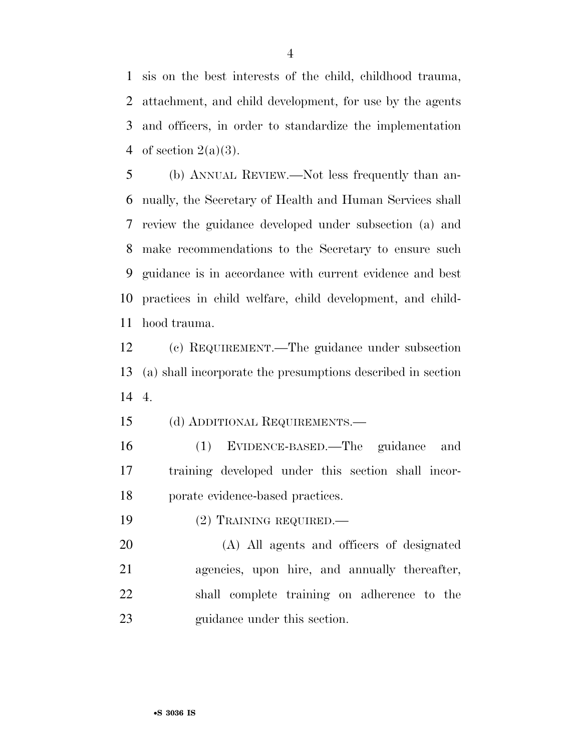sis on the best interests of the child, childhood trauma, attachment, and child development, for use by the agents and officers, in order to standardize the implementation 4 of section  $2(a)(3)$ .

 (b) ANNUAL REVIEW.—Not less frequently than an- nually, the Secretary of Health and Human Services shall review the guidance developed under subsection (a) and make recommendations to the Secretary to ensure such guidance is in accordance with current evidence and best practices in child welfare, child development, and child-hood trauma.

 (c) REQUIREMENT.—The guidance under subsection (a) shall incorporate the presumptions described in section 4.

(d) ADDITIONAL REQUIREMENTS.—

 (1) EVIDENCE-BASED.—The guidance and training developed under this section shall incor-porate evidence-based practices.

(2) TRAINING REQUIRED.—

 (A) All agents and officers of designated agencies, upon hire, and annually thereafter, shall complete training on adherence to the guidance under this section.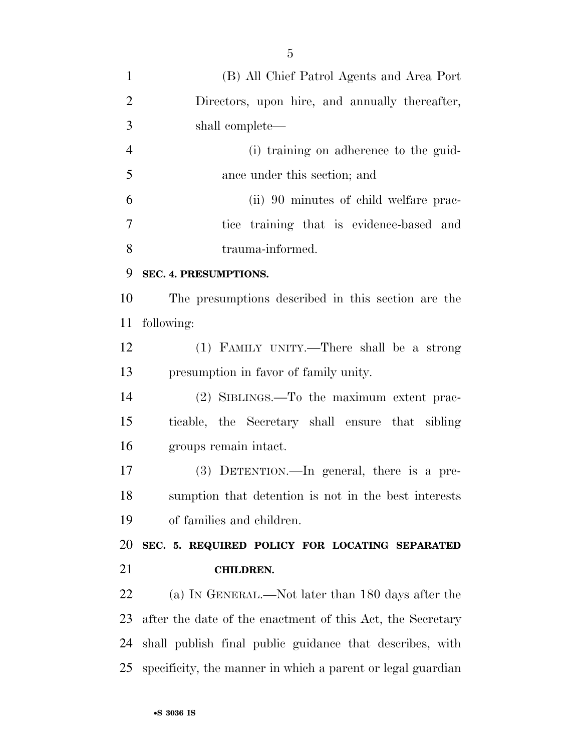| $\mathbf{1}$   | (B) All Chief Patrol Agents and Area Port                   |
|----------------|-------------------------------------------------------------|
| $\overline{2}$ | Directors, upon hire, and annually thereafter,              |
| 3              | shall complete—                                             |
| $\overline{4}$ | (i) training on adherence to the guid-                      |
| 5              | ance under this section; and                                |
| 6              | (ii) 90 minutes of child welfare prac-                      |
| $\overline{7}$ | tice training that is evidence-based and                    |
| 8              | trauma-informed.                                            |
| 9              | SEC. 4. PRESUMPTIONS.                                       |
| 10             | The presumptions described in this section are the          |
| 11             | following:                                                  |
| 12             | (1) FAMILY UNITY.—There shall be a strong                   |
| 13             | presumption in favor of family unity.                       |
| 14             | (2) SIBLINGS.—To the maximum extent prac-                   |
| 15             | ticable, the Secretary shall ensure that sibling            |
| 16             | groups remain intact.                                       |
| 17             | $(3)$ DETENTION.—In general, there is a pre-                |
| 18             | sumption that detention is not in the best interests        |
| 19             | of families and children.                                   |
| 20             | SEC. 5. REQUIRED POLICY FOR LOCATING SEPARATED              |
| 21             | <b>CHILDREN.</b>                                            |
| 22             | (a) IN GENERAL.—Not later than 180 days after the           |
| 23             | after the date of the enactment of this Act, the Secretary  |
| 24             | shall publish final public guidance that describes, with    |
| 25             | specificity, the manner in which a parent or legal guardian |
|                |                                                             |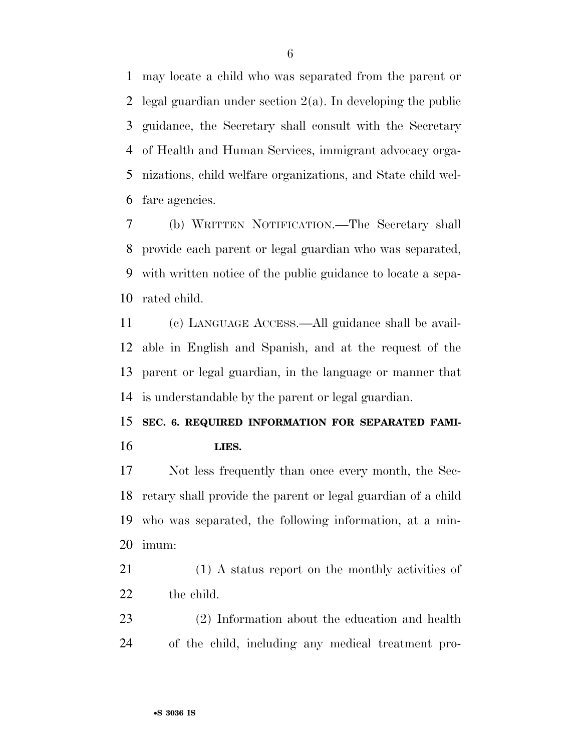may locate a child who was separated from the parent or 2 legal guardian under section  $2(a)$ . In developing the public guidance, the Secretary shall consult with the Secretary of Health and Human Services, immigrant advocacy orga- nizations, child welfare organizations, and State child wel-fare agencies.

 (b) WRITTEN NOTIFICATION.—The Secretary shall provide each parent or legal guardian who was separated, with written notice of the public guidance to locate a sepa-rated child.

 (c) LANGUAGE ACCESS.—All guidance shall be avail- able in English and Spanish, and at the request of the parent or legal guardian, in the language or manner that is understandable by the parent or legal guardian.

# **SEC. 6. REQUIRED INFORMATION FOR SEPARATED FAMI-LIES.**

 Not less frequently than once every month, the Sec- retary shall provide the parent or legal guardian of a child who was separated, the following information, at a min-imum:

 (1) A status report on the monthly activities of the child.

 (2) Information about the education and health of the child, including any medical treatment pro-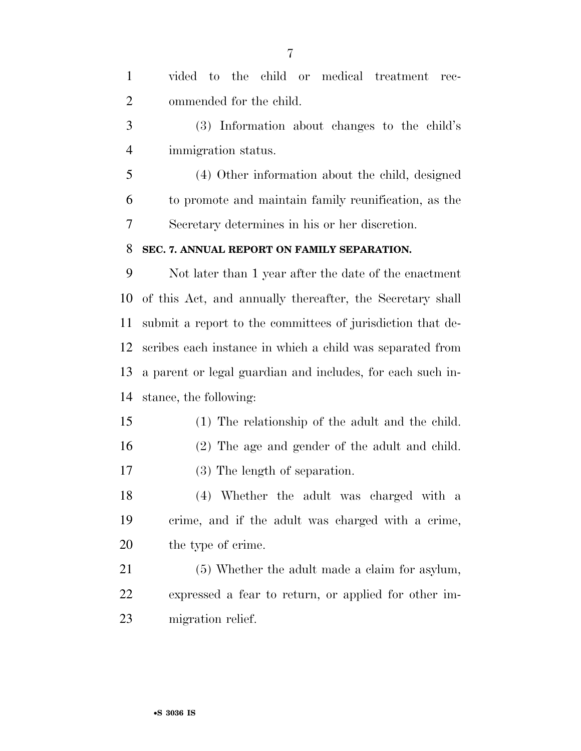| $\mathbf{1}$   | vided to the child or medical treatment<br>rec-            |
|----------------|------------------------------------------------------------|
| $\overline{2}$ | ommended for the child.                                    |
| 3              | (3) Information about changes to the child's               |
| $\overline{4}$ | immigration status.                                        |
| 5              | (4) Other information about the child, designed            |
| 6              | to promote and maintain family reunification, as the       |
| 7              | Secretary determines in his or her discretion.             |
| 8              | SEC. 7. ANNUAL REPORT ON FAMILY SEPARATION.                |
| 9              | Not later than 1 year after the date of the enactment      |
| 10             | of this Act, and annually thereafter, the Secretary shall  |
| 11             | submit a report to the committees of jurisdiction that de- |
| 12             | scribes each instance in which a child was separated from  |
| 13             | a parent or legal guardian and includes, for each such in- |
| 14             | stance, the following:                                     |
| 15             | (1) The relationship of the adult and the child.           |
| 16             | (2) The age and gender of the adult and child.             |
| 17             | (3) The length of separation.                              |
| 18             | (4) Whether the adult was charged with a                   |
| 19             | crime, and if the adult was charged with a crime,          |
| 20             | the type of crime.                                         |
| 21             | (5) Whether the adult made a claim for asylum,             |
| 22             | expressed a fear to return, or applied for other im-       |
| 23             | migration relief.                                          |
|                |                                                            |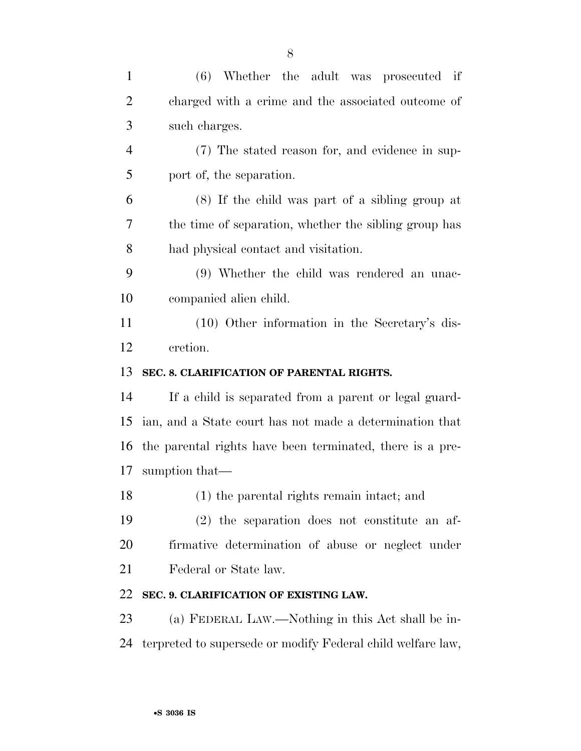| $\mathbf{1}$   | (6) Whether the adult was prosecuted if                      |
|----------------|--------------------------------------------------------------|
| $\overline{2}$ | charged with a crime and the associated outcome of           |
| 3              | such charges.                                                |
| $\overline{4}$ | (7) The stated reason for, and evidence in sup-              |
| 5              | port of, the separation.                                     |
| 6              | (8) If the child was part of a sibling group at              |
| 7              | the time of separation, whether the sibling group has        |
| 8              | had physical contact and visitation.                         |
| 9              | (9) Whether the child was rendered an unac-                  |
| 10             | companied alien child.                                       |
| 11             | $(10)$ Other information in the Secretary's dis-             |
| 12             | cretion.                                                     |
| 13             | SEC. 8. CLARIFICATION OF PARENTAL RIGHTS.                    |
| 14             | If a child is separated from a parent or legal guard-        |
| 15             | ian, and a State court has not made a determination that     |
|                | 16 the parental rights have been terminated, there is a pre- |
| 17             |                                                              |
|                | sumption that—                                               |
| 18             | (1) the parental rights remain intact; and                   |
| 19             | $(2)$ the separation does not constitute an af-              |
| 20             | firmative determination of abuse or neglect under            |
| 21             | Federal or State law.                                        |
| 22             | SEC. 9. CLARIFICATION OF EXISTING LAW.                       |
| 23             | (a) FEDERAL LAW.—Nothing in this Act shall be in-            |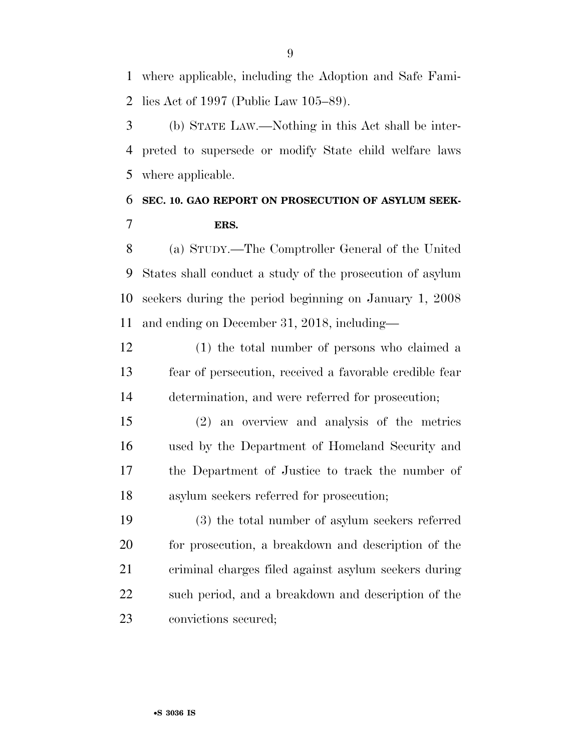where applicable, including the Adoption and Safe Fami-lies Act of 1997 (Public Law 105–89).

 (b) STATE LAW.—Nothing in this Act shall be inter- preted to supersede or modify State child welfare laws where applicable.

## **SEC. 10. GAO REPORT ON PROSECUTION OF ASYLUM SEEK-ERS.**

 (a) STUDY.—The Comptroller General of the United States shall conduct a study of the prosecution of asylum seekers during the period beginning on January 1, 2008 and ending on December 31, 2018, including—

 (1) the total number of persons who claimed a fear of persecution, received a favorable credible fear determination, and were referred for prosecution;

 (2) an overview and analysis of the metrics used by the Department of Homeland Security and the Department of Justice to track the number of asylum seekers referred for prosecution;

 (3) the total number of asylum seekers referred for prosecution, a breakdown and description of the criminal charges filed against asylum seekers during such period, and a breakdown and description of the convictions secured;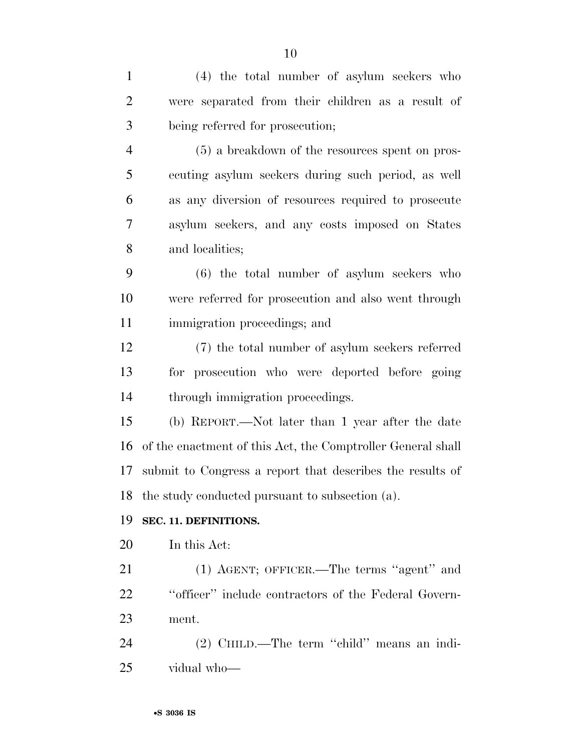(4) the total number of asylum seekers who were separated from their children as a result of being referred for prosecution; (5) a breakdown of the resources spent on pros- ecuting asylum seekers during such period, as well as any diversion of resources required to prosecute asylum seekers, and any costs imposed on States and localities; (6) the total number of asylum seekers who were referred for prosecution and also went through immigration proceedings; and (7) the total number of asylum seekers referred for prosecution who were deported before going through immigration proceedings. (b) REPORT.—Not later than 1 year after the date of the enactment of this Act, the Comptroller General shall submit to Congress a report that describes the results of the study conducted pursuant to subsection (a). **SEC. 11. DEFINITIONS.**  In this Act: (1) AGENT; OFFICER.—The terms ''agent'' and ''officer'' include contractors of the Federal Govern- ment. (2) CHILD.—The term ''child'' means an indi-vidual who—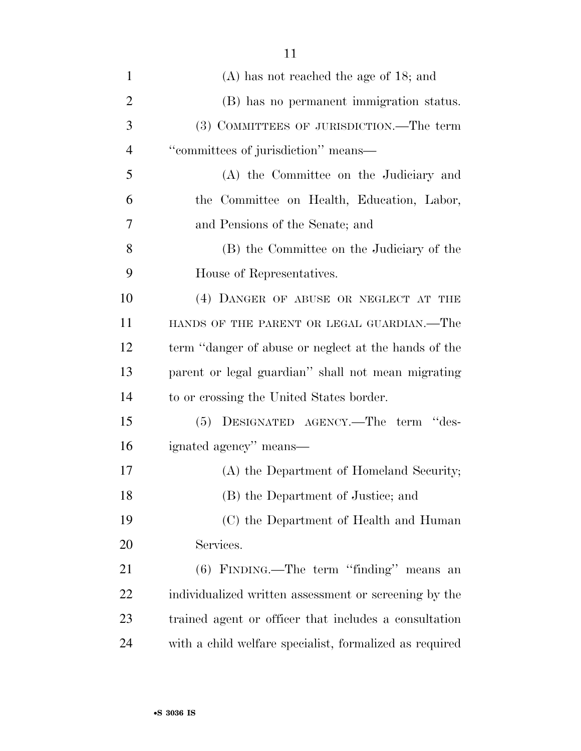| $\mathbf{1}$   | $(A)$ has not reached the age of 18; and                |
|----------------|---------------------------------------------------------|
| $\overline{2}$ | (B) has no permanent immigration status.                |
| 3              | (3) COMMITTEES OF JURISDICTION.—The term                |
| $\overline{4}$ | "committees of jurisdiction" means—                     |
| 5              | (A) the Committee on the Judiciary and                  |
| 6              | the Committee on Health, Education, Labor,              |
| 7              | and Pensions of the Senate; and                         |
| 8              | (B) the Committee on the Judiciary of the               |
| 9              | House of Representatives.                               |
| 10             | (4) DANGER OF ABUSE OR NEGLECT AT THE                   |
| 11             | HANDS OF THE PARENT OR LEGAL GUARDIAN.—The              |
| 12             | term "danger of abuse or neglect at the hands of the    |
| 13             | parent or legal guardian" shall not mean migrating      |
| 14             | to or crossing the United States border.                |
| 15             | (5) DESIGNATED AGENCY.-The term "des-                   |
| 16             | ignated agency" means—                                  |
| 17             | (A) the Department of Homeland Security;                |
| 18             | (B) the Department of Justice; and                      |
| 19             | (C) the Department of Health and Human                  |
| 20             | Services.                                               |
| 21             | (6) FINDING.—The term "finding" means an                |
| 22             | individualized written assessment or screening by the   |
| 23             | trained agent or officer that includes a consultation   |
| 24             | with a child welfare specialist, formalized as required |